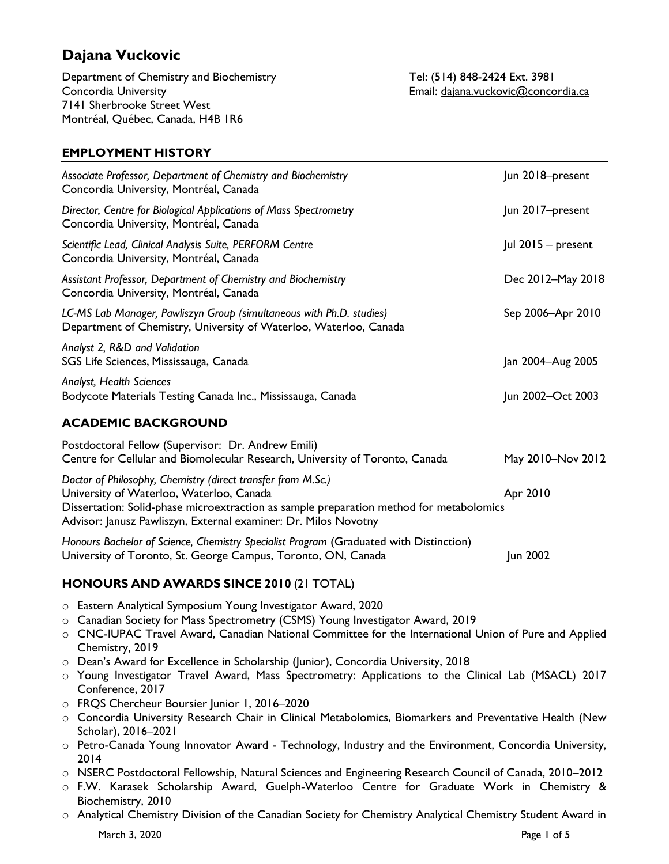# **Dajana Vuckovic**

Department of Chemistry and Biochemistry Tel: (514) 848-2424 Ext. 3981 Concordia University Email: [dajana.vuckovic@concordia.ca](mailto:dajana.vuckovic@concordia.ca) 7141 Sherbrooke Street West Montréal, Québec, Canada, H4B 1R6

# **EMPLOYMENT HISTORY**

| Associate Professor, Department of Chemistry and Biochemistry                                                                                                                                                                                                          | Jun 2018-present   |
|------------------------------------------------------------------------------------------------------------------------------------------------------------------------------------------------------------------------------------------------------------------------|--------------------|
| Concordia University, Montréal, Canada                                                                                                                                                                                                                                 |                    |
| Director, Centre for Biological Applications of Mass Spectrometry<br>Concordia University, Montréal, Canada                                                                                                                                                            | Jun 2017-present   |
| Scientific Lead, Clinical Analysis Suite, PERFORM Centre<br>Concordia University, Montréal, Canada                                                                                                                                                                     | Jul 2015 - present |
| Assistant Professor, Department of Chemistry and Biochemistry<br>Concordia University, Montréal, Canada                                                                                                                                                                | Dec 2012-May 2018  |
| LC-MS Lab Manager, Pawliszyn Group (simultaneous with Ph.D. studies)<br>Department of Chemistry, University of Waterloo, Waterloo, Canada                                                                                                                              | Sep 2006-Apr 2010  |
| Analyst 2, R&D and Validation<br>SGS Life Sciences, Mississauga, Canada                                                                                                                                                                                                | Jan 2004-Aug 2005  |
| <b>Analyst, Health Sciences</b><br>Bodycote Materials Testing Canada Inc., Mississauga, Canada                                                                                                                                                                         | Jun 2002-Oct 2003  |
| <b>ACADEMIC BACKGROUND</b>                                                                                                                                                                                                                                             |                    |
| Postdoctoral Fellow (Supervisor: Dr. Andrew Emili)<br>Centre for Cellular and Biomolecular Research, University of Toronto, Canada                                                                                                                                     | May 2010-Nov 2012  |
| Doctor of Philosophy, Chemistry (direct transfer from M.Sc.)<br>University of Waterloo, Waterloo, Canada<br>Dissertation: Solid-phase microextraction as sample preparation method for metabolomics<br>Advisor: Janusz Pawliszyn, External examiner: Dr. Milos Novotny | Apr 2010           |
| Honours Bachelor of Science, Chemistry Specialist Program (Graduated with Distinction)<br>University of Toronto, St. George Campus, Toronto, ON, Canada                                                                                                                | Jun 2002           |

# **HONOURS AND AWARDS SINCE 2010** (21 TOTAL)

- o Eastern Analytical Symposium Young Investigator Award, 2020
- o Canadian Society for Mass Spectrometry (CSMS) Young Investigator Award, 2019
- o CNC-IUPAC Travel Award, Canadian National Committee for the International Union of Pure and Applied Chemistry, 2019
- o Dean's Award for Excellence in Scholarship (Junior), Concordia University, 2018
- o Young Investigator Travel Award, Mass Spectrometry: Applications to the Clinical Lab (MSACL) 2017 Conference, 2017
- o FRQS Chercheur Boursier Junior 1, 2016–2020
- o Concordia University Research Chair in Clinical Metabolomics, Biomarkers and Preventative Health (New Scholar), 2016–2021
- o Petro-Canada Young Innovator Award Technology, Industry and the Environment, Concordia University, 2014
- o NSERC Postdoctoral Fellowship, Natural Sciences and Engineering Research Council of Canada, 2010–2012
- o F.W. Karasek Scholarship Award, Guelph-Waterloo Centre for Graduate Work in Chemistry & Biochemistry, 2010
- o Analytical Chemistry Division of the Canadian Society for Chemistry Analytical Chemistry Student Award in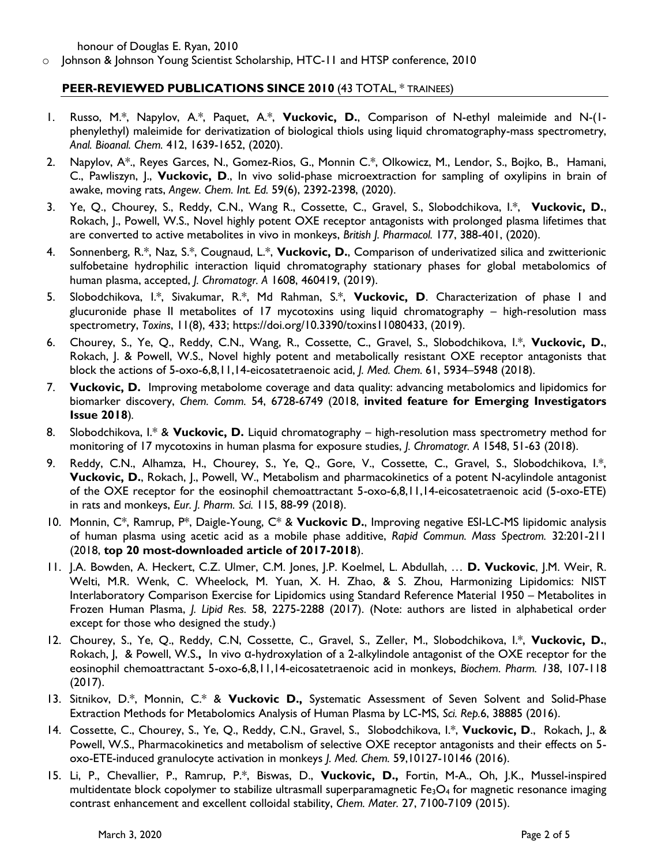honour of Douglas E. Ryan, 2010

o Johnson & Johnson Young Scientist Scholarship, HTC-11 and HTSP conference, 2010

## **PEER-REVIEWED PUBLICATIONS SINCE 2010** (43 TOTAL, \* TRAINEES)

- 1. Russo, M.\*, Napylov, A.\*, Paquet, A.\*, **Vuckovic, D.**, Comparison of N-ethyl maleimide and N-(1 phenylethyl) maleimide for derivatization of biological thiols using liquid chromatography-mass spectrometry, *Anal. Bioanal. Chem.* 412, 1639-1652, (2020).
- 2. Napylov, A\*., Reyes Garces, N., Gomez-Rios, G., Monnin C.\*, Olkowicz, M., Lendor, S., Bojko, B., Hamani, C., Pawliszyn, J., **Vuckovic, D**., In vivo solid-phase microextraction for sampling of oxylipins in brain of awake, moving rats, *Angew. Chem. Int. Ed.* 59(6), 2392-2398, (2020).
- 3. Ye, Q., Chourey, S., Reddy, C.N., Wang R., Cossette, C., Gravel, S., Slobodchikova, I.\*, **Vuckovic, D.**, Rokach, J., Powell, W.S., Novel highly potent OXE receptor antagonists with prolonged plasma lifetimes that are converted to active metabolites in vivo in monkeys, *British J. Pharmacol.* 177, 388-401, (2020).
- 4. Sonnenberg, R.\*, Naz, S.\*, Cougnaud, L.\*, **Vuckovic, D.**, Comparison of underivatized silica and zwitterionic sulfobetaine hydrophilic interaction liquid chromatography stationary phases for global metabolomics of human plasma, accepted, *J. Chromatogr. A* 1608, 460419, (2019).
- 5. Slobodchikova, I.\*, Sivakumar, R.\*, Md Rahman, S.\*, **Vuckovic, D**. Characterization of phase I and glucuronide phase II metabolites of 17 mycotoxins using liquid chromatography – high-resolution mass spectrometry, *Toxins*, 11(8), 433; [https://doi.org/10.3390/toxins11080433,](https://doi.org/10.3390/toxins11080433) (2019).
- 6. Chourey, S., Ye, Q., Reddy, C.N., Wang, R., Cossette, C., Gravel, S., Slobodchikova, I.\*, **Vuckovic, D.**, Rokach, J. & Powell, W.S., Novel highly potent and metabolically resistant OXE receptor antagonists that block the actions of 5-oxo-6,8,11,14-eicosatetraenoic acid, *J. Med. Chem.* 61, 5934–5948 (2018).
- 7. **Vuckovic, D.** Improving metabolome coverage and data quality: advancing metabolomics and lipidomics for biomarker discovery, *Chem. Comm.* 54, 6728-6749 (2018, **invited feature for Emerging Investigators Issue 2018**)*.*
- 8. Slobodchikova, I.\* & **Vuckovic, D.** Liquid chromatography high-resolution mass spectrometry method for monitoring of 17 mycotoxins in human plasma for exposure studies, *J. Chromatogr. A* 1548, 51-63 (2018).
- 9. Reddy, C.N., Alhamza, H., Chourey, S., Ye, Q., Gore, V., Cossette, C., Gravel, S., Slobodchikova, I.\*, **Vuckovic, D.**, Rokach, J., Powell, W., Metabolism and pharmacokinetics of a potent N-acylindole antagonist of the OXE receptor for the eosinophil chemoattractant 5-oxo-6,8,11,14-eicosatetraenoic acid (5-oxo-ETE) in rats and monkeys, *Eur. J. Pharm. Sci.* 115, 88-99 (2018).
- 10. Monnin, C\*, Ramrup, P\*, Daigle-Young, C\* & **Vuckovic D.**, Improving negative ESI-LC-MS lipidomic analysis of human plasma using acetic acid as a mobile phase additive, *Rapid Commun. Mass Spectrom.* 32:201-211 (2018, **top 20 most-downloaded article of 2017-2018**).
- 11. J.A. Bowden, A. Heckert, C.Z. Ulmer, C.M. Jones, J.P. Koelmel, L. Abdullah, … **D. Vuckovic**, J.M. Weir, R. Welti, M.R. Wenk, C. Wheelock, M. Yuan, X. H. Zhao, & S. Zhou, Harmonizing Lipidomics: NIST Interlaboratory Comparison Exercise for Lipidomics using Standard Reference Material 1950 – Metabolites in Frozen Human Plasma, *J. Lipid Res.* 58, 2275-2288 (2017). (Note: authors are listed in alphabetical order except for those who designed the study.)
- 12. Chourey, S., Ye, Q., Reddy, C.N, Cossette, C., Gravel, S., Zeller, M., Slobodchikova, I.\*, **Vuckovic, D.**, Rokach, J, & Powell, W.S.**,** In vivo α-hydroxylation of a 2-alkylindole antagonist of the OXE receptor for the eosinophil chemoattractant 5-oxo-6,8,11,14-eicosatetraenoic acid in monkeys, *Biochem. Pharm. 1*38, 107-118 (2017).
- 13. Sitnikov, D.\*, Monnin, C.\* & **Vuckovic D.,** Systematic Assessment of Seven Solvent and Solid-Phase Extraction Methods for Metabolomics Analysis of Human Plasma by LC-MS, *Sci. Rep.*6, 38885 (2016).
- 14. Cossette, C., Chourey, S., Ye, Q., Reddy, C.N., Gravel, S., Slobodchikova, I.\*, **Vuckovic, D**., Rokach, J., & Powell, W.S., Pharmacokinetics and metabolism of selective OXE receptor antagonists and their effects on 5 oxo-ETE-induced granulocyte activation in monkeys *J. Med. Chem.* 59,10127-10146 (2016).
- 15. Li, P., Chevallier, P., Ramrup, P.\*, Biswas, D., **Vuckovic, D.,** Fortin, M-A., Oh, J.K., Mussel-inspired multidentate block copolymer to stabilize ultrasmall superparamagnetic Fe<sub>3</sub>O<sub>4</sub> for magnetic resonance imaging contrast enhancement and excellent colloidal stability, *Chem. Mater.* 27, 7100-7109 (2015).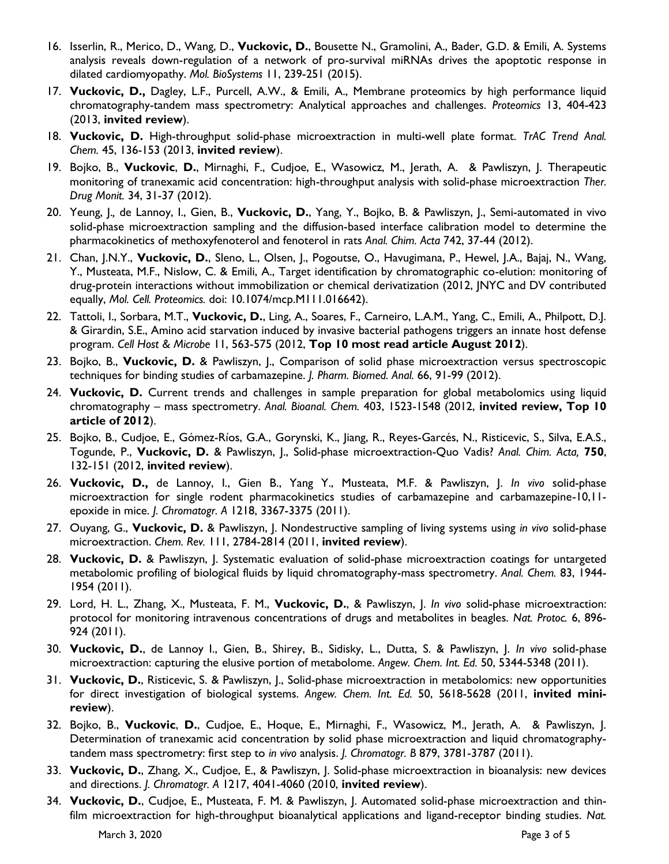- 16. Isserlin, R., Merico, D., Wang, D., **Vuckovic, D.**, Bousette N., Gramolini, A., Bader, G.D. & Emili, A. Systems analysis reveals down-regulation of a network of pro-survival miRNAs drives the apoptotic response in dilated cardiomyopathy. *Mol. BioSystems* 11, 239-251 (2015).
- 17. **Vuckovic, D.,** Dagley, L.F., Purcell, A.W., & Emili, A., Membrane proteomics by high performance liquid chromatography-tandem mass spectrometry: Analytical approaches and challenges. *Proteomics* 13, 404-423 (2013, **invited review**).
- 18. **Vuckovic, D.** High-throughput solid-phase microextraction in multi-well plate format. *TrAC Trend Anal. Chem.* 45, 136-153 (2013, **invited review**).
- 19. Bojko, B., **Vuckovic**, **D.**, Mirnaghi, F., Cudjoe, E., Wasowicz, M., Jerath, A. & Pawliszyn, J. Therapeutic monitoring of tranexamic acid concentration: high-throughput analysis with solid-phase microextraction *Ther. Drug Monit.* 34, 31-37 (2012).
- 20. Yeung, J.*,* de Lannoy, I., Gien, B., **Vuckovic, D.**, Yang, Y., Bojko, B. & Pawliszyn, J., Semi-automated in vivo solid-phase microextraction sampling and the diffusion-based interface calibration model to determine the pharmacokinetics of methoxyfenoterol and fenoterol in rats *Anal. Chim. Acta* 742, 37-44 (2012).
- 21. Chan, J.N.Y., **Vuckovic, D.**, Sleno, L., Olsen, J., Pogoutse, O., Havugimana, P., Hewel, J.A., Bajaj, N., Wang, Y., Musteata, M.F., Nislow, C. & Emili, A., Target identification by chromatographic co-elution: monitoring of drug-protein interactions without immobilization or chemical derivatization (2012, JNYC and DV contributed equally, *Mol. Cell. Proteomics.* doi: 10.1074/mcp.M111.016642).
- 22. Tattoli, I., Sorbara, M.T., **Vuckovic, D.**, Ling, A., Soares, F., Carneiro, L.A.M., Yang, C., Emili, A., Philpott, D.J. & Girardin, S.E., Amino acid starvation induced by invasive bacterial pathogens triggers an innate host defense program. *Cell Host & Microbe* 11, 563-575 (2012, **Top 10 most read article August 2012**).
- 23. Bojko, B., **Vuckovic, D.** & Pawliszyn, J., Comparison of solid phase microextraction versus spectroscopic techniques for binding studies of carbamazepine. *J. Pharm. Biomed. Anal.* 66, 91-99 (2012).
- 24. **Vuckovic, D.** Current trends and challenges in sample preparation for global metabolomics using liquid chromatography – mass spectrometry. *Anal. Bioanal. Chem.* 403, 1523-1548 (2012, **invited review, Top 10 article of 2012**).
- 25. Bojko, B., Cudjoe, E., Gómez-Ríos, G.A., Gorynski, K., Jiang, R., Reyes-Garcés, N., Risticevic, S., Silva, E.A.S., Togunde, P., **Vuckovic, D.** & Pawliszyn, J., Solid-phase microextraction-Quo Vadis? *Anal. Chim. Acta,* **750**, 132-151 (2012, **invited review**).
- 26. **Vuckovic, D.,** de Lannoy, I., Gien B., Yang Y., Musteata, M.F. & Pawliszyn, J. *In vivo* solid-phase microextraction for single rodent pharmacokinetics studies of carbamazepine and carbamazepine-10,11 epoxide in mice. *J. Chromatogr. A* 1218, 3367-3375 (2011).
- 27. Ouyang, G., **Vuckovic, D.** & Pawliszyn, J. Nondestructive sampling of living systems using *in vivo* solid-phase microextraction. *Chem. Rev.* 111, 2784-2814 (2011, **invited review**).
- 28. **Vuckovic, D.** & Pawliszyn, J. Systematic evaluation of solid-phase microextraction coatings for untargeted metabolomic profiling of biological fluids by liquid chromatography-mass spectrometry. *Anal. Chem.* 83, 1944- 1954 (2011).
- 29. Lord, H. L., Zhang, X., Musteata, F. M., **Vuckovic, D.**, & Pawliszyn, J. *In vivo* solid-phase microextraction: protocol for monitoring intravenous concentrations of drugs and metabolites in beagles. *Nat. Protoc.* 6, 896- 924 (2011).
- 30. **Vuckovic, D.**, de Lannoy I., Gien, B., Shirey, B., Sidisky, L., Dutta, S. & Pawliszyn, J. *In vivo* solid-phase microextraction: capturing the elusive portion of metabolome. *Angew. Chem. Int. Ed.* 50, 5344-5348 (2011).
- 31. **Vuckovic, D.**, Risticevic, S. & Pawliszyn, J., Solid-phase microextraction in metabolomics: new opportunities for direct investigation of biological systems. *Angew. Chem. Int. Ed.* 50, 5618-5628 (2011, **invited minireview**).
- 32. Bojko, B., **Vuckovic**, **D.**, Cudjoe, E., Hoque, E., Mirnaghi, F., Wasowicz, M., Jerath, A. & Pawliszyn, J. Determination of tranexamic acid concentration by solid phase microextraction and liquid chromatographytandem mass spectrometry: first step to *in vivo* analysis. *J. Chromatogr. B* 879, 3781-3787 (2011).
- 33. **Vuckovic, D.**, Zhang, X., Cudjoe, E., & Pawliszyn, J. Solid-phase microextraction in bioanalysis: new devices and directions. *J. Chromatogr. A* 1217, 4041-4060 (2010, **invited review**).
- 34. **Vuckovic, D.**, Cudjoe, E., Musteata, F. M. & Pawliszyn, J. Automated solid-phase microextraction and thinfilm microextraction for high-throughput bioanalytical applications and ligand-receptor binding studies. *Nat.*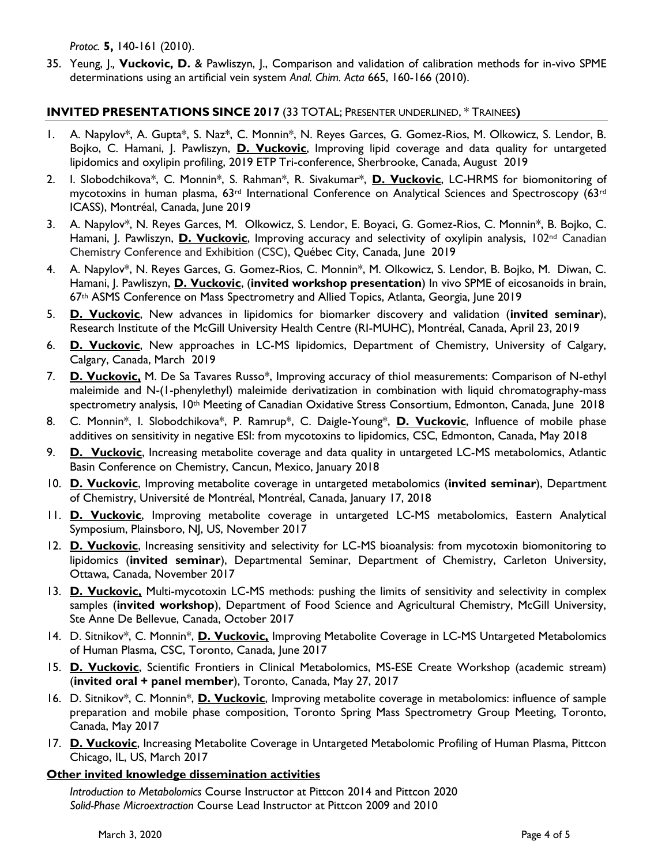*Protoc.* **5,** 140-161 (2010).

35. Yeung, J.*,* **Vuckovic, D.** & Pawliszyn, J., Comparison and validation of calibration methods for in-vivo SPME determinations using an artificial vein system *Anal. Chim. Acta* 665, 160-166 (2010).

## **INVITED PRESENTATIONS SINCE 2017** (33 TOTAL; PRESENTER UNDERLINED, \* TRAINEES**)**

- 1. A. Napylov\*, A. Gupta\*, S. Naz\*, C. Monnin\*, N. Reyes Garces, G. Gomez-Rios, M. Olkowicz, S. Lendor, B. Bojko, C. Hamani, J. Pawliszyn, **D. Vuckovic**, Improving lipid coverage and data quality for untargeted lipidomics and oxylipin profiling, 2019 ETP Tri-conference, Sherbrooke, Canada, August 2019
- 2. I. Slobodchikova\*, C. Monnin\*, S. Rahman\*, R. Sivakumar\*, **D. Vuckovic**, LC-HRMS for biomonitoring of mycotoxins in human plasma, 63rd International Conference on Analytical Sciences and Spectroscopy (63rd ICASS), Montréal, Canada, June 2019
- 3. A. Napylov\*, N. Reyes Garces, M. Olkowicz, S. Lendor, E. Boyaci, G. Gomez-Rios, C. Monnin\*, B. Bojko, C. Hamani, J. Pawliszyn, **D. Vuckovic**, Improving accuracy and selectivity of oxylipin analysis, 102<sup>nd</sup> Canadian Chemistry Conference and Exhibition (CSC), Québec City, Canada, June 2019
- 4. A. Napylov\*, N. Reyes Garces, G. Gomez-Rios, C. Monnin\*, M. Olkowicz, S. Lendor, B. Bojko, M. Diwan, C. Hamani, J. Pawliszyn, **D. Vuckovic**, (**invited workshop presentation**) In vivo SPME of eicosanoids in brain, 67th ASMS Conference on Mass Spectrometry and Allied Topics, Atlanta, Georgia, June 2019
- 5. **D. Vuckovic**, New advances in lipidomics for biomarker discovery and validation (**invited seminar**), Research Institute of the McGill University Health Centre (RI-MUHC), Montréal, Canada, April 23, 2019
- 6. **D. Vuckovic**, New approaches in LC-MS lipidomics, Department of Chemistry, University of Calgary, Calgary, Canada, March 2019
- 7. **D. Vuckovic,** M. De Sa Tavares Russo\*, Improving accuracy of thiol measurements: Comparison of N-ethyl maleimide and N-(1-phenylethyl) maleimide derivatization in combination with liquid chromatography-mass spectrometry analysis, 10<sup>th</sup> Meeting of Canadian Oxidative Stress Consortium, Edmonton, Canada, June 2018
- 8. C. Monnin\*, I. Slobodchikova\*, P. Ramrup\*, C. Daigle-Young\*, **D. Vuckovic**, Influence of mobile phase additives on sensitivity in negative ESI: from mycotoxins to lipidomics, CSC, Edmonton, Canada, May 2018
- 9. **D. Vuckovic**, Increasing metabolite coverage and data quality in untargeted LC-MS metabolomics, Atlantic Basin Conference on Chemistry, Cancun, Mexico, January 2018
- 10. **D. Vuckovic**, Improving metabolite coverage in untargeted metabolomics (**invited seminar**), Department of Chemistry, Université de Montréal, Montréal, Canada, January 17, 2018
- 11. **D. Vuckovic**, Improving metabolite coverage in untargeted LC-MS metabolomics, Eastern Analytical Symposium, Plainsboro, NJ, US, November 2017
- 12. **D. Vuckovic**, Increasing sensitivity and selectivity for LC-MS bioanalysis: from mycotoxin biomonitoring to lipidomics (**invited seminar**), Departmental Seminar, Department of Chemistry, Carleton University, Ottawa, Canada, November 2017
- 13. **D. Vuckovic,** Multi-mycotoxin LC-MS methods: pushing the limits of sensitivity and selectivity in complex samples (**invited workshop**), Department of Food Science and Agricultural Chemistry, McGill University, Ste Anne De Bellevue, Canada, October 2017
- 14. D. Sitnikov\*, C. Monnin\*, **D. Vuckovic,** Improving Metabolite Coverage in LC-MS Untargeted Metabolomics of Human Plasma, CSC, Toronto, Canada, June 2017
- 15. **D. Vuckovic**, Scientific Frontiers in Clinical Metabolomics, MS-ESE Create Workshop (academic stream) (**invited oral + panel member**), Toronto, Canada, May 27, 2017
- 16. D. Sitnikov\*, C. Monnin\*, **D. Vuckovic**, Improving metabolite coverage in metabolomics: influence of sample preparation and mobile phase composition, Toronto Spring Mass Spectrometry Group Meeting, Toronto, Canada, May 2017
- 17. **D. Vuckovic**, Increasing Metabolite Coverage in Untargeted Metabolomic Profiling of Human Plasma, Pittcon Chicago, IL, US, March 2017

# **Other invited knowledge dissemination activities**

*Introduction to Metabolomics* Course Instructor at Pittcon 2014 and Pittcon 2020 *Solid-Phase Microextraction* Course Lead Instructor at Pittcon 2009 and 2010